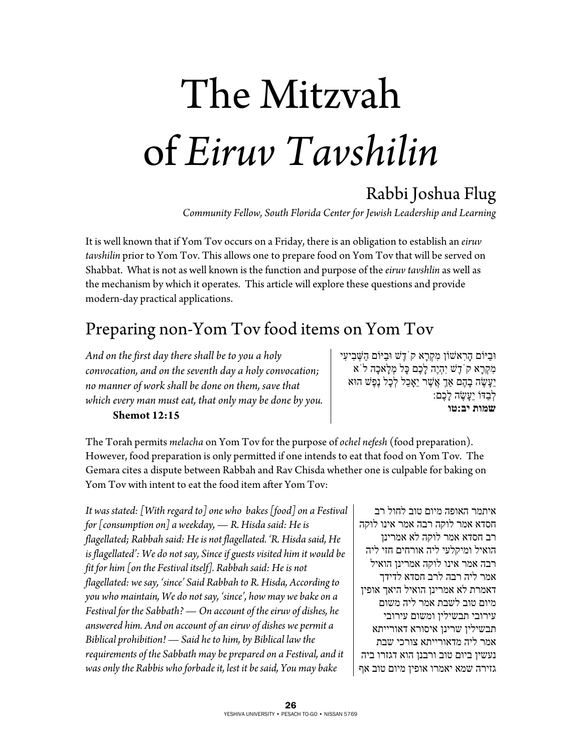# The Mitzvah of *Eiruv Tavshilin*

## Rabbi Joshua Flug

*Community Fellow, South Florida Center for Jewish Leadership and Learning* 

It is well known that if Yom Tov occurs on a Friday, there is an obligation to establish an *eiruv tavshilin* prior to Yom Tov. This allows one to prepare food on Yom Tov that will be served on Shabbat. What is not as well known is the function and purpose of the *eiruv tavshlin* as well as the mechanism by which it operates. This article will explore these questions and provide modern-day practical applications.

#### Preparing non-Yom Tov food items on Yom Tov

*And on the first day there shall be to you a holy convocation, and on the seventh day a holy convocation; no manner of work shall be done on them, save that which every man must eat, that only may be done by you.*   **Shemot 12:15** 

וּבַיּוֹם הָרִאשׁוֹן מִקְרָא קֹדֶשׁ וּבַיּוֹם הַשְּׁ בִיעִי מִקְרָא קֹדֶשׁ יִהְיֶה לָכֶם כָּל מְלָאכָה לֹא יֵעֲשֶׂה בָהֶם אַךְ אֲשֶׁר יֵאָכֵל לְכָל נֶפֶשׁ הוּא לְבַדּוֹ יֵעֲשֶׂה לָכֶם: **שמות יב:טו**

The Torah permits *melacha* on Yom Tov for the purpose of *ochel nefesh* (food preparation). However, food preparation is only permitted if one intends to eat that food on Yom Tov. The Gemara cites a dispute between Rabbah and Rav Chisda whether one is culpable for baking on Yom Tov with intent to eat the food item after Yom Tov:

*It was stated: [With regard to] one who bakes [food] on a Festival for [consumption on] a weekday, — R. Hisda said: He is flagellated; Rabbah said: He is not flagellated. 'R. Hisda said, He is flagellated': We do not say, Since if guests visited him it would be fit for him [on the Festival itself]. Rabbah said: He is not flagellated: we say, 'since' Said Rabbah to R. Hisda, According to you who maintain, We do not say, 'since', how may we bake on a Festival for the Sabbath? — On account of the eiruv of dishes, he answered him. And on account of an eiruv of dishes we permit a Biblical prohibition! — Said he to him, by Biblical law the requirements of the Sabbath may be prepared on a Festival, and it was only the Rabbis who forbade it, lest it be said, You may bake* 

איתמר האופה מיום טוב לחול רב חסדא אמר לוקה רבה אמר אינו לוקה רב חסדא אמר לוקה לא אמרינן הואיל ומיקלעי ליה אורחים חזי ליה רבה אמר אינו לוקה אמרינן הואיל אמר ליה רבה לרב חסדא לדידך דאמרת לא אמרינן הואיל היאך אופין מיום טוב לשבת אמר ליה משום עירובי תבשילין ומשום עירובי תבשילין שרינן איסורא דאורייתא אמר ליה מדאורייתא צורכי שבת נעשין ביום טוב ורבנן הוא דגזרו ביה גזירה שמא יאמרו אופין מיום טוב אף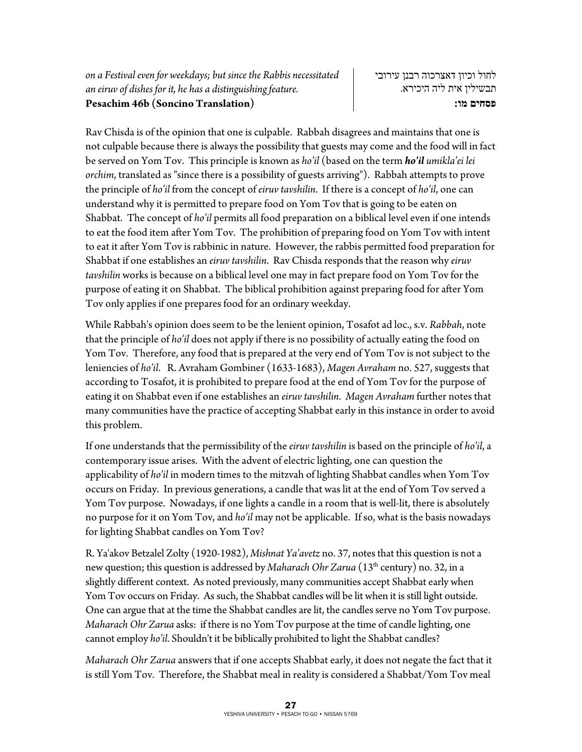Rav Chisda is of the opinion that one is culpable. Rabbah disagrees and maintains that one is not culpable because there is always the possibility that guests may come and the food will in fact be served on Yom Tov. This principle is known as *ho'il* (based on the term *ho'il umikla'ei lei orchim*, translated as "since there is a possibility of guests arriving"). Rabbah attempts to prove the principle of *ho'il* from the concept of *eiruv tavshilin*. If there is a concept of *ho'il*, one can understand why it is permitted to prepare food on Yom Tov that is going to be eaten on Shabbat. The concept of *ho'il* permits all food preparation on a biblical level even if one intends to eat the food item after Yom Tov. The prohibition of preparing food on Yom Tov with intent to eat it after Yom Tov is rabbinic in nature. However, the rabbis permitted food preparation for Shabbat if one establishes an *eiruv tavshilin*. Rav Chisda responds that the reason why *eiruv tavshilin* works is because on a biblical level one may in fact prepare food on Yom Tov for the purpose of eating it on Shabbat. The biblical prohibition against preparing food for after Yom Tov only applies if one prepares food for an ordinary weekday.

While Rabbah's opinion does seem to be the lenient opinion, Tosafot ad loc., s.v. *Rabbah*, note that the principle of *ho'il* does not apply if there is no possibility of actually eating the food on Yom Tov. Therefore, any food that is prepared at the very end of Yom Tov is not subject to the leniencies of *ho'il*. R. Avraham Gombiner (1633-1683), *Magen Avraham* no. 527, suggests that according to Tosafot, it is prohibited to prepare food at the end of Yom Tov for the purpose of eating it on Shabbat even if one establishes an *eiruv tavshilin*. *Magen Avraham* further notes that many communities have the practice of accepting Shabbat early in this instance in order to avoid this problem.

If one understands that the permissibility of the *eiruv tavshilin* is based on the principle of *ho'il*, a contemporary issue arises.With the advent of electric lighting, one can question the applicability of *ho'il* in modern times to the mitzvah of lighting Shabbat candles when Yom Tov occurs on Friday. In previous generations, a candle that was lit at the end of Yom Tov served a Yom Tov purpose. Nowadays, if one lights a candle in a room that is well-lit, there is absolutely no purpose for it on Yom Tov, and *ho'il* may not be applicable. If so, what is the basis nowadays for lighting Shabbat candles on Yom Tov?

R. Ya'akov Betzalel Zolty (1920-1982), *Mishnat Ya'avetz* no. 37, notes that this question is not a new question; this question is addressed by *Maharach Ohr Zarua* (13<sup>th</sup> century) no. 32, in a slightly different context. As noted previously, many communities accept Shabbat early when Yom Tov occurs on Friday. As such, the Shabbat candles will be lit when it is still light outside. One can argue that at the time the Shabbat candles are lit, the candles serve no Yom Tov purpose. *Maharach Ohr Zarua* asks: if there is no Yom Tov purpose at the time of candle lighting, one cannot employ *ho'il*. Shouldn't it be biblically prohibited to light the Shabbat candles?

*Maharach Ohr Zarua* answers that if one accepts Shabbat early, it does not negate the fact that it is still Yom Tov. Therefore, the Shabbat meal in reality is considered a Shabbat/Yom Tov meal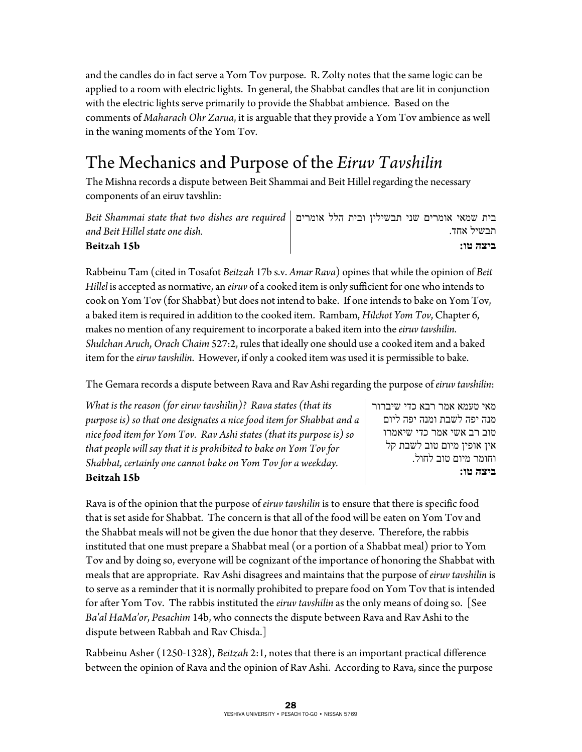and the candles do in fact serve a Yom Tov purpose. R. Zolty notes that the same logic can be applied to a room with electric lights. In general, the Shabbat candles that are lit in conjunction with the electric lights serve primarily to provide the Shabbat ambience. Based on the comments of *Maharach Ohr Zarua*, it is arguable that they provide a Yom Tov ambience as well in the waning moments of the Yom Tov.

# The Mechanics and Purpose of the *Eiruv Tavshilin*

The Mishna records a dispute between Beit Shammai and Beit Hillel regarding the necessary components of an eiruv tavshlin:

| Eeit Shammai state that two dishes are required   בית שמאי אומרים שני תבשילין ובית הלל אומרים |  |  |            |  |
|-----------------------------------------------------------------------------------------------|--|--|------------|--|
| and Beit Hillel state one dish.                                                               |  |  | תבשיל אחד. |  |
| Beitzah 15b                                                                                   |  |  | ביצה טו:   |  |

Rabbeinu Tam (cited in Tosafot *Beitzah* 17b s.v. *Amar Rava*) opines that while the opinion of *Beit Hillel* is accepted as normative, an *eiruv* of a cooked item is only sufficient for one who intends to cook on Yom Tov (for Shabbat) but does not intend to bake. If one intends to bake on Yom Tov, a baked item is required in addition to the cooked item. Rambam, *Hilchot Yom Tov*, Chapter 6, makes no mention of any requirement to incorporate a baked item into the *eiruv tavshilin*. *Shulchan Aruch*, *Orach Chaim* 527:2, rules that ideally one should use a cooked item and a baked item for the *eiruv tavshilin*. However, if only a cooked item was used it is permissible to bake.

The Gemara records a dispute between Rava and Rav Ashi regarding the purpose of *eiruv tavshilin*:

*What is the reason (for eiruv tavshilin)? Rava states (that its purpose is) so that one designates a nice food item for Shabbat and a nice food item for Yom Tov. Rav Ashi states (that its purpose is) so that people will say that it is prohibited to bake on Yom Tov for Shabbat, certainly one cannot bake on Yom Tov for a weekday.*  **Beitzah 15b** 

מאי טעמא אמר רבא כדי שיברור מנה יפה לשבת ומנה יפה ליום טוב רב אשי אמר כדי שיאמרו אין אופין מיום טוב לשבת קל וחומר מיום טוב לחול. **ביצה טו:**

Rava is of the opinion that the purpose of *eiruv tavshilin* is to ensure that there is specific food that is set aside for Shabbat. The concern is that all of the food will be eaten on Yom Tov and the Shabbat meals will not be given the due honor that they deserve. Therefore, the rabbis instituted that one must prepare a Shabbat meal (or a portion of a Shabbat meal) prior to Yom Tov and by doing so, everyone will be cognizant of the importance of honoring the Shabbat with meals that are appropriate. Rav Ashi disagrees and maintains that the purpose of *eiruv tavshilin* is to serve as a reminder that it is normally prohibited to prepare food on Yom Tov that is intended for after Yom Tov. The rabbis instituted the *eiruv tavshilin* as the only means of doing so. [See *Ba'al HaMa'or*, *Pesachim* 14b, who connects the dispute between Rava and Rav Ashi to the dispute between Rabbah and Rav Chisda.]

Rabbeinu Asher (1250-1328), *Beitzah* 2:1, notes that there is an important practical difference between the opinion of Rava and the opinion of Rav Ashi. According to Rava, since the purpose